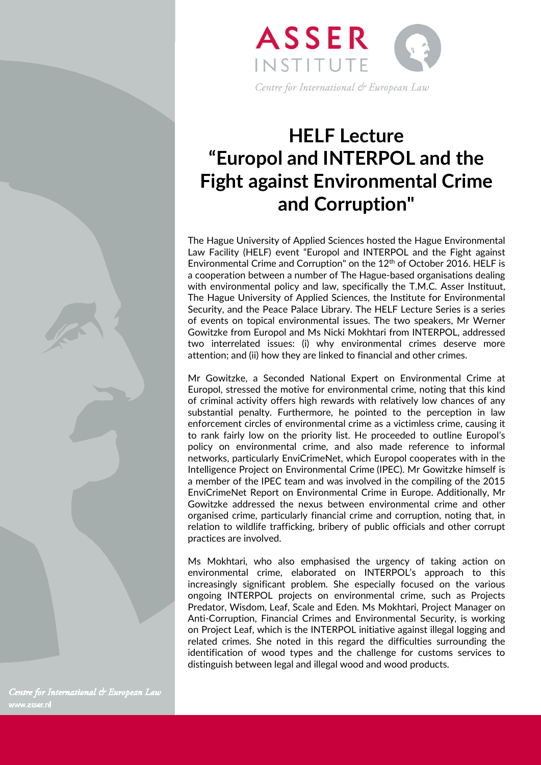

## **HELF Lecture "Europol and INTERPOL and the Fight against Environmental Crime and Corruption"**

The Hague University of Applied Sciences hosted the Hague Environmental Law Facility (HELF) event "Europol and INTERPOL and the Fight against Environmental Crime and Corruption" on the 12th of October 2016. HELF is a cooperation between a number of The Hague-based organisations dealing with environmental policy and law, specifically the T.M.C. Asser Instituut, The Hague University of Applied Sciences, the Institute for Environmental Security, and the Peace Palace Library. The HELF Lecture Series is a series of events on topical environmental issues. The two speakers, Mr Werner Gowitzke from Europol and Ms Nicki Mokhtari from INTERPOL, addressed two interrelated issues: (i) why environmental crimes deserve more attention; and (ii) how they are linked to financial and other crimes.

Mr Gowitzke, a Seconded National Expert on Environmental Crime at Europol, stressed the motive for environmental crime, noting that this kind of criminal activity offers high rewards with relatively low chances of any substantial penalty. Furthermore, he pointed to the perception in law enforcement circles of environmental crime as a victimless crime, causing it to rank fairly low on the priority list. He proceeded to outline Europol's policy on environmental crime, and also made reference to informal networks, particularly EnviCrimeNet, which Europol cooperates with in the Intelligence Project on Environmental Crime (IPEC). Mr Gowitzke himself is a member of the IPEC team and was involved in the compiling of the 2015 EnviCrimeNet Report on Environmental Crime in Europe. Additionally, Mr Gowitzke addressed the nexus between environmental crime and other organised crime, particularly financial crime and corruption, noting that, in relation to wildlife trafficking, bribery of public officials and other corrupt practices are involved.

Ms Mokhtari, who also emphasised the urgency of taking action on environmental crime, elaborated on INTERPOL's approach to this increasingly significant problem. She especially focused on the various ongoing INTERPOL projects on environmental crime, such as Projects Predator, Wisdom, Leaf, Scale and Eden. Ms Mokhtari, Project Manager on Anti-Corruption, Financial Crimes and Environmental Security, is working on Project Leaf, which is the INTERPOL initiative against illegal logging and related crimes. She noted in this regard the difficulties surrounding the identification of wood types and the challenge for customs services to distinguish between legal and illegal wood and wood products.

Centre for International & European Law www.asser.nl